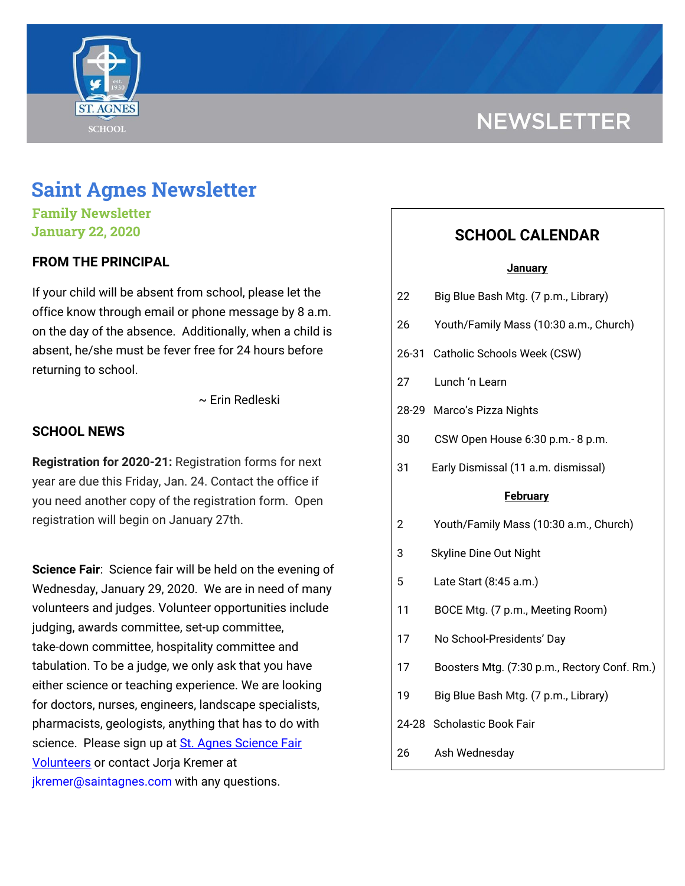

# **NEWSLETTER**

# **Saint Agnes Newsletter**

**Family Newsletter January 22, 2020**

# **FROM THE PRINCIPAL**

If your child will be absent from school, please let the office know through email or phone message by 8 a.m. on the day of the absence. Additionally, when a child is absent, he/she must be fever free for 24 hours before returning to school.

~ Erin Redleski

# **SCHOOL NEWS**

**Registration for 2020-21:** Registration forms for next year are due this Friday, Jan. 24. Contact the office if you need another copy of the registration form. Open registration will begin on January 27th.

**Science Fair**: Science fair will be held on the evening of Wednesday, January 29, 2020. We are in need of many volunteers and judges. Volunteer opportunities include judging, awards committee, set-up committee, take-down committee, hospitality committee and tabulation. To be a judge, we only ask that you have either science or teaching experience. We are looking for doctors, nurses, engineers, landscape specialists, pharmacists, geologists, anything that has to do with science. Please sign up at St. Agnes [Science](https://signup.com/go/CEXWWEd) Fair **[Volunteers](https://signup.com/go/CEXWWEd)** or contact Jorja Kremer at jkremer@saintagnes.com with any questions.

# **SCHOOL CALENDAR**

#### **January**

| 22              | Big Blue Bash Mtg. (7 p.m., Library)         |
|-----------------|----------------------------------------------|
| 26              | Youth/Family Mass (10:30 a.m., Church)       |
|                 | 26-31 Catholic Schools Week (CSW)            |
| 27              | Lunch 'n Learn                               |
|                 | 28-29 Marco's Pizza Nights                   |
| 30              | CSW Open House 6:30 p.m.- 8 p.m.             |
| 31              | Early Dismissal (11 a.m. dismissal)          |
| <b>February</b> |                                              |
| 2               | Youth/Family Mass (10:30 a.m., Church)       |
| 3               | Skyline Dine Out Night                       |
| 5               | Late Start (8:45 a.m.)                       |
| 11              | BOCE Mtg. (7 p.m., Meeting Room)             |
| 17              | No School-Presidents' Day                    |
| 17              | Boosters Mtg. (7:30 p.m., Rectory Conf. Rm.) |
| 19              | Big Blue Bash Mtg. (7 p.m., Library)         |
|                 | 24-28 Scholastic Book Fair                   |
| 26              | Ash Wednesday                                |
|                 |                                              |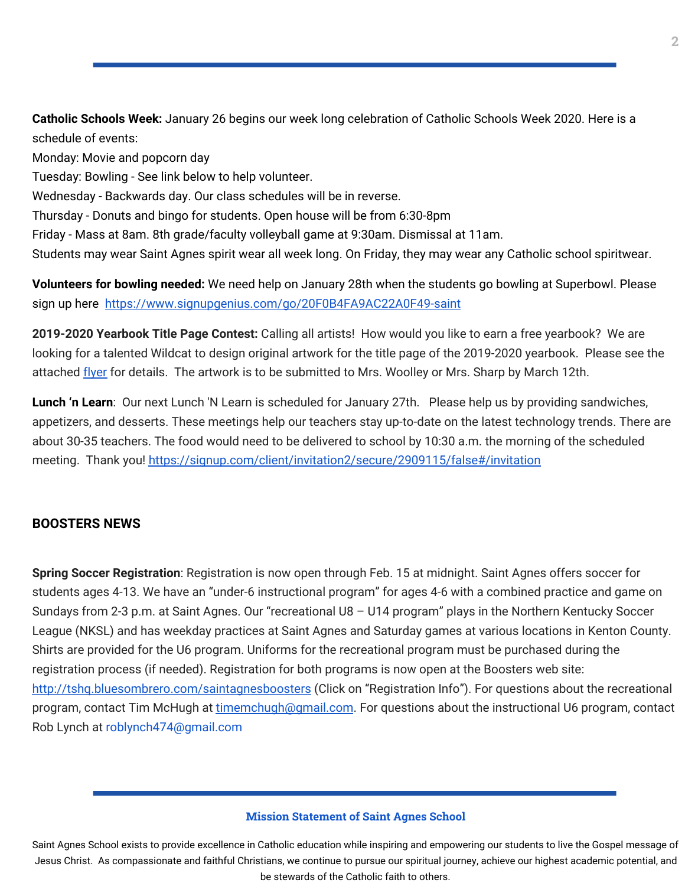**Catholic Schools Week:** January 26 begins our week long celebration of Catholic Schools Week 2020. Here is a schedule of events:

Monday: Movie and popcorn day

Tuesday: Bowling - See link below to help volunteer.

Wednesday - Backwards day. Our class schedules will be in reverse.

Thursday - Donuts and bingo for students. Open house will be from 6:30-8pm

Friday - Mass at 8am. 8th grade/faculty volleyball game at 9:30am. Dismissal at 11am.

Students may wear Saint Agnes spirit wear all week long. On Friday, they may wear any Catholic school spiritwear.

**Volunteers for bowling needed:** We need help on January 28th when the students go bowling at Superbowl. Please sign up here <https://www.signupgenius.com/go/20F0B4FA9AC22A0F49-saint>

**2019-2020 Yearbook Title Page Contest:** Calling all artists! How would you like to earn a free yearbook? We are looking for a talented Wildcat to design original artwork for the title page of the 2019-2020 yearbook. Please see the attached [flyer](https://school.saintagnes.com/wp-content/uploads/2020/01/Yearbook-Contest-19-20-1.pdf) for details. The artwork is to be submitted to Mrs. Woolley or Mrs. Sharp by March 12th.

**Lunch 'n Learn**: Our next Lunch 'N Learn is scheduled for January 27th. Please help us by providing sandwiches, appetizers, and desserts. These meetings help our teachers stay up-to-date on the latest technology trends. There are about 30-35 teachers. The food would need to be delivered to school by 10:30 a.m. the morning of the scheduled meeting. Thank you! <https://signup.com/client/invitation2/secure/2909115/false#/invitation>

### **BOOSTERS NEWS**

**Spring Soccer Registration**: Registration is now open through Feb. 15 at midnight. Saint Agnes offers soccer for students ages 4-13. We have an "under-6 instructional program" for ages 4-6 with a combined practice and game on Sundays from 2-3 p.m. at Saint Agnes. Our "recreational U8 – U14 program" plays in the Northern Kentucky Soccer League (NKSL) and has weekday practices at Saint Agnes and Saturday games at various locations in Kenton County. Shirts are provided for the U6 program. Uniforms for the recreational program must be purchased during the registration process (if needed). Registration for both programs is now open at the Boosters web site: <http://tshq.bluesombrero.com/saintagnesboosters> (Click on "Registration Info"). For questions about the recreational program, contact Tim McHugh at [timemchugh@gmail.com](mailto:timemchugh@gmail.com). For questions about the instructional U6 program, contact Rob Lynch at roblynch474@gmail.com

#### **Mission Statement of Saint Agnes School**

Saint Agnes School exists to provide excellence in Catholic education while inspiring and empowering our students to live the Gospel message of Jesus Christ. As compassionate and faithful Christians, we continue to pursue our spiritual journey, achieve our highest academic potential, and be stewards of the Catholic faith to others.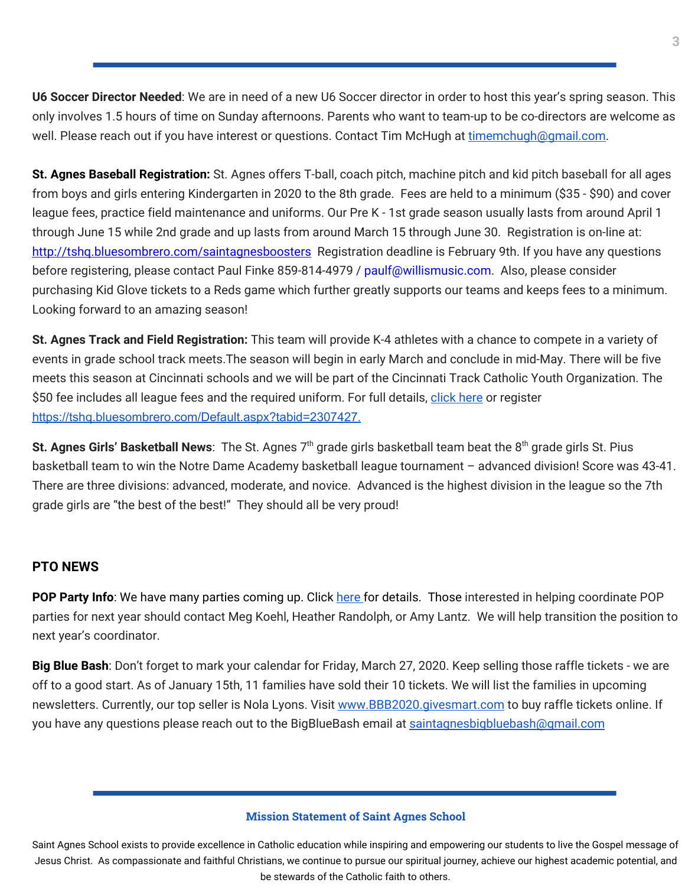**U6 Soccer Director Needed**: We are in need of a new U6 Soccer director in order to host this year's spring season. This only involves 1.5 hours of time on Sunday afternoons. Parents who want to team-up to be co-directors are welcome as well. Please reach out if you have interest or questions. Contact Tim McHugh at [timemchugh@gmail.com.](mailto:timemchugh@gmail.com)

**St. Agnes Baseball Registration:** St. Agnes offers T-ball, coach pitch, machine pitch and kid pitch baseball for all ages from boys and girls entering Kindergarten in 2020 to the 8th grade. Fees are held to a minimum (\$35 - \$90) and cover league fees, practice field maintenance and uniforms. Our Pre K - 1st grade season usually lasts from around April 1 through June 15 while 2nd grade and up lasts from around March 15 through June 30. Registration is on-line at: <http://tshq.bluesombrero.com/saintagnesboosters> Registration deadline is February 9th. If you have any questions before registering, please contact Paul Finke 859-814-4979 / paulf@willismusic.com. Also, please consider purchasing Kid Glove tickets to a Reds game which further greatly supports our teams and keeps fees to a minimum. Looking forward to an amazing season!

**St. Agnes Track and Field Registration:** This team will provide K-4 athletes with a chance to compete in a variety of events in grade school track meets.The season will begin in early March and conclude in mid-May. There will be five meets this season at Cincinnati schools and we will be part of the Cincinnati Track Catholic Youth Organization. The \$50 fee includes all league fees and the required uniform. For full details, [click](https://school.saintagnes.com/wp-content/uploads/2020/01/2020-track-and-field-saint-agnes.pdf) here or register <https://tshq.bluesombrero.com/Default.aspx?tabid=2307427>[.](https://school.saintagnes.com/wp-content/uploads/2020/01/2020-st-agnes-track-and-field.pdf)

St. Agnes Girls' Basketball News: The St. Agnes 7<sup>th</sup> grade girls basketball team beat the 8<sup>th</sup> grade girls St. Pius basketball team to win the Notre Dame Academy basketball league tournament – advanced division! Score was 43-41. There are three divisions: advanced, moderate, and novice. Advanced is the highest division in the league so the 7th grade girls are "the best of the best!" They should all be very proud!

# **PTO NEWS**

**POP Party Info**: We have many parties coming up. Click [here](https://school.saintagnes.com/wp-content/uploads/2020/01/POP-Parties_2020.pdf) for details. Those interested in helping coordinate POP parties for next year should contact Meg Koehl, Heather Randolph, or Amy Lantz. We will help transition the position to next year's coordinator.

**Big Blue Bash**: Don't forget to mark your calendar for Friday, March 27, 2020. Keep selling those raffle tickets - we are off to a good start. As of January 15th, 11 families have sold their 10 tickets. We will list the families in upcoming newsletters. Currently, our top seller is Nola Lyons. Visit [www.BBB2020.givesmart.com](http://www.bbb2020.givesmart.com/) to buy raffle tickets online. If you have any questions please reach out to the BigBlueBash email at [saintagnesbigbluebash@gmail.com](mailto:saintagnesbigbluebash@gmail.com)

#### **Mission Statement of Saint Agnes School**

Saint Agnes School exists to provide excellence in Catholic education while inspiring and empowering our students to live the Gospel message of Jesus Christ. As compassionate and faithful Christians, we continue to pursue our spiritual journey, achieve our highest academic potential, and be stewards of the Catholic faith to others.